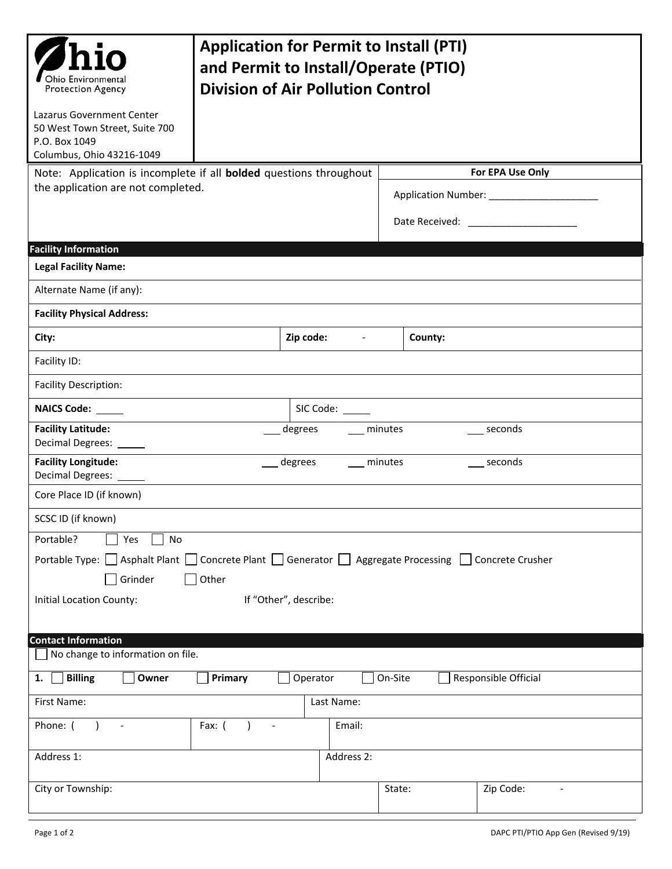| Ohio Environmental<br><b>Protection Agency</b>                                                                                                                                                           | <b>Application for Permit to Install (PTI)</b><br>and Permit to Install/Operate (PTIO)<br><b>Division of Air Pollution Control</b> |            |                                       |                                                                                                          |                        |                |  |  |  |  |
|----------------------------------------------------------------------------------------------------------------------------------------------------------------------------------------------------------|------------------------------------------------------------------------------------------------------------------------------------|------------|---------------------------------------|----------------------------------------------------------------------------------------------------------|------------------------|----------------|--|--|--|--|
| Lazarus Government Center<br>50 West Town Street, Suite 700<br>P.O. Box 1049<br>Columbus, Ohio 43216-1049                                                                                                |                                                                                                                                    |            |                                       |                                                                                                          |                        |                |  |  |  |  |
| Note: Application is incomplete if all <b>bolded</b> questions throughout<br>the application are not completed.                                                                                          |                                                                                                                                    |            |                                       | For EPA Use Only<br>Application Number: ______________________<br>Date Received: _______________________ |                        |                |  |  |  |  |
| <b>Facility Information</b>                                                                                                                                                                              |                                                                                                                                    |            |                                       |                                                                                                          |                        |                |  |  |  |  |
| <b>Legal Facility Name:</b>                                                                                                                                                                              |                                                                                                                                    |            |                                       |                                                                                                          |                        |                |  |  |  |  |
| Alternate Name (if any):                                                                                                                                                                                 |                                                                                                                                    |            |                                       |                                                                                                          |                        |                |  |  |  |  |
| <b>Facility Physical Address:</b>                                                                                                                                                                        |                                                                                                                                    |            |                                       |                                                                                                          |                        |                |  |  |  |  |
| City:                                                                                                                                                                                                    |                                                                                                                                    |            | Zip code:<br>$\overline{\phantom{a}}$ |                                                                                                          | County:                |                |  |  |  |  |
| Facility ID:                                                                                                                                                                                             |                                                                                                                                    |            |                                       |                                                                                                          |                        |                |  |  |  |  |
| <b>Facility Description:</b>                                                                                                                                                                             |                                                                                                                                    |            |                                       |                                                                                                          |                        |                |  |  |  |  |
| NAICS Code: _____                                                                                                                                                                                        |                                                                                                                                    | SIC Code:  |                                       |                                                                                                          |                        |                |  |  |  |  |
| <b>Facility Latitude:</b><br>Decimal Degrees: ______                                                                                                                                                     | degrees                                                                                                                            |            |                                       |                                                                                                          | seconds<br>___ minutes |                |  |  |  |  |
| <b>Facility Longitude:</b><br>Decimal Degrees: ___                                                                                                                                                       |                                                                                                                                    | degrees    | minutes                               |                                                                                                          |                        | seconds        |  |  |  |  |
| Core Place ID (if known)                                                                                                                                                                                 |                                                                                                                                    |            |                                       |                                                                                                          |                        |                |  |  |  |  |
| SCSC ID (if known)                                                                                                                                                                                       |                                                                                                                                    |            |                                       |                                                                                                          |                        |                |  |  |  |  |
| Portable?<br>Yes<br>No<br>Portable Type: △ Asphalt Plant △ Concrete Plant △ Generator △ Aggregate Processing △ Concrete Crusher<br>Grinder<br>Other<br>If "Other", describe:<br>Initial Location County: |                                                                                                                                    |            |                                       |                                                                                                          |                        |                |  |  |  |  |
| <b>Contact Information</b><br>No change to information on file.                                                                                                                                          |                                                                                                                                    |            |                                       |                                                                                                          |                        |                |  |  |  |  |
| <b>Billing</b><br>On-Site<br>Responsible Official<br>Owner<br>Primary<br>Operator<br>1.                                                                                                                  |                                                                                                                                    |            |                                       |                                                                                                          |                        |                |  |  |  |  |
| First Name:                                                                                                                                                                                              |                                                                                                                                    |            | Last Name:                            |                                                                                                          |                        |                |  |  |  |  |
| Phone: (<br>$\overline{\phantom{a}}$                                                                                                                                                                     | Fax: $($<br>$\overline{\phantom{a}}$                                                                                               |            | Email:                                |                                                                                                          |                        |                |  |  |  |  |
| Address 1:                                                                                                                                                                                               |                                                                                                                                    | Address 2: |                                       |                                                                                                          |                        |                |  |  |  |  |
| City or Township:                                                                                                                                                                                        |                                                                                                                                    |            | State:                                |                                                                                                          | Zip Code:              | $\overline{a}$ |  |  |  |  |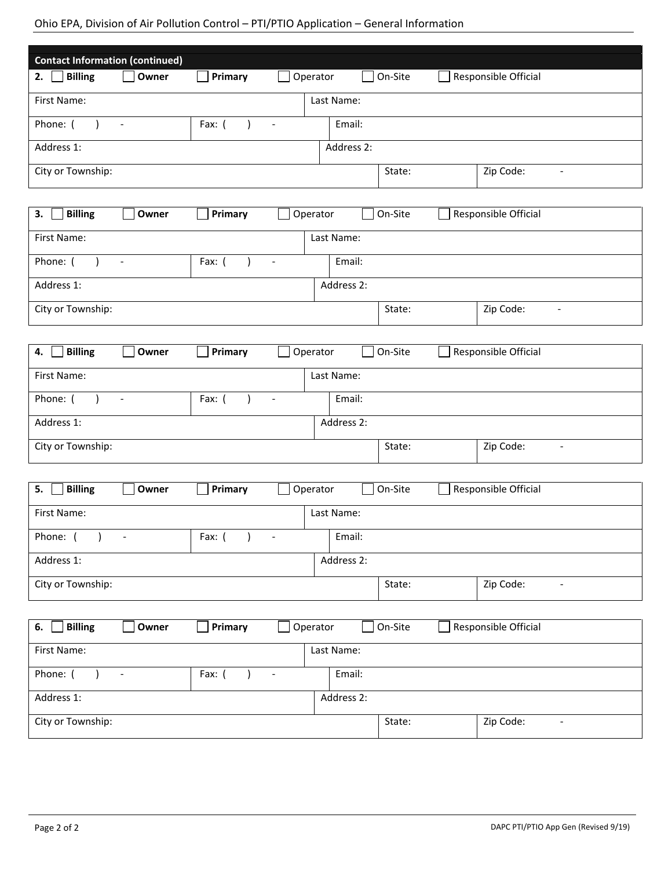## Ohio EPA, Division of Air Pollution Control – PTI/PTIO Application – General Information

| <b>Contact Information (continued)</b>                                                  |                                                                 |                       |                          |            |            |         |  |                                       |  |
|-----------------------------------------------------------------------------------------|-----------------------------------------------------------------|-----------------------|--------------------------|------------|------------|---------|--|---------------------------------------|--|
| $\Box$ Billing<br>2.                                                                    | Owner<br>Operator<br>On-Site<br>Responsible Official<br>Primary |                       |                          |            |            |         |  |                                       |  |
| First Name:                                                                             |                                                                 |                       |                          | Last Name: |            |         |  |                                       |  |
| Phone: (<br>Fax: $($<br>$\blacksquare$<br>$\overline{\phantom{a}}$                      |                                                                 |                       |                          | Email:     |            |         |  |                                       |  |
| Address 1:                                                                              |                                                                 |                       |                          |            | Address 2: |         |  |                                       |  |
| City or Township:                                                                       |                                                                 |                       |                          |            |            | State:  |  | Zip Code:<br>$\blacksquare$           |  |
|                                                                                         |                                                                 |                       |                          |            |            |         |  |                                       |  |
| <b>Billing</b><br>3.                                                                    | Owner                                                           | Primary               | Operator                 |            |            | On-Site |  | Responsible Official                  |  |
| First Name:                                                                             |                                                                 |                       |                          |            | Last Name: |         |  |                                       |  |
| Phone: (<br>$\lambda$                                                                   | $\blacksquare$                                                  | Fax: $($<br>$\lambda$ | $\overline{\phantom{a}}$ |            | Email:     |         |  |                                       |  |
| Address 1:                                                                              |                                                                 |                       |                          |            | Address 2: |         |  |                                       |  |
| City or Township:                                                                       |                                                                 |                       |                          |            |            | State:  |  | Zip Code:<br>$\blacksquare$           |  |
|                                                                                         |                                                                 |                       |                          |            |            |         |  |                                       |  |
| <b>Billing</b><br>4.                                                                    | Owner                                                           | Primary               | Operator                 |            |            | On-Site |  | Responsible Official                  |  |
| First Name:                                                                             |                                                                 |                       |                          |            | Last Name: |         |  |                                       |  |
| Phone: (<br>$\lambda$                                                                   | $\blacksquare$                                                  | Fax: $($              | $\blacksquare$           |            | Email:     |         |  |                                       |  |
| Address 1:                                                                              |                                                                 |                       |                          |            | Address 2: |         |  |                                       |  |
| City or Township:                                                                       |                                                                 |                       |                          |            |            | State:  |  | Zip Code:<br>$\blacksquare$           |  |
|                                                                                         |                                                                 |                       |                          |            |            |         |  |                                       |  |
| <b>Billing</b><br>On-Site<br>Responsible Official<br>Owner<br>Primary<br>Operator<br>5. |                                                                 |                       |                          |            |            |         |  |                                       |  |
| First Name:                                                                             |                                                                 |                       |                          |            | Last Name: |         |  |                                       |  |
| Phone: $( )$ -                                                                          |                                                                 | Fax: $( )$ -          |                          |            | Email:     |         |  |                                       |  |
| Address 1:                                                                              |                                                                 |                       |                          | Address 2: |            |         |  |                                       |  |
| City or Township:                                                                       |                                                                 |                       |                          |            |            | State:  |  | Zip Code:<br>$\overline{\phantom{a}}$ |  |
|                                                                                         |                                                                 |                       |                          |            |            |         |  |                                       |  |
| <b>Billing</b><br>Primary<br>On-Site<br>Responsible Official<br>Owner<br>Operator<br>6. |                                                                 |                       |                          |            |            |         |  |                                       |  |
| First Name:<br>Last Name:                                                               |                                                                 |                       |                          |            |            |         |  |                                       |  |
| Phone: (<br>$\lambda$                                                                   | $\overline{\phantom{a}}$                                        | Fax: $($              | $\overline{\phantom{a}}$ |            | Email:     |         |  |                                       |  |
| Address 1:                                                                              |                                                                 |                       |                          |            | Address 2: |         |  |                                       |  |
| City or Township:                                                                       |                                                                 |                       |                          |            |            | State:  |  | Zip Code:<br>$\overline{\phantom{a}}$ |  |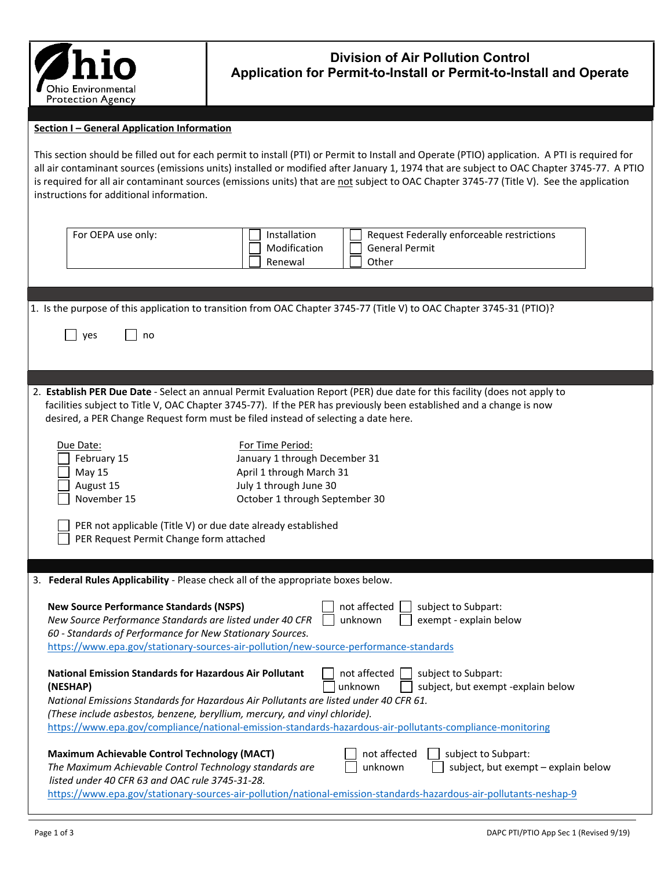

## **Division of Air Pollution Control Application for Permit-to-Install or Permit-to-Install and Operate**

## **Section I – General Application Information**

This section should be filled out for each permit to install (PTI) or Permit to Install and Operate (PTIO) application. A PTI is required for all air contaminant sources (emissions units) installed or modified after January 1, 1974 that are subject to OAC Chapter 3745-77. A PTIO is required for all air contaminant sources (emissions units) that are not subject to OAC Chapter 3745-77 (Title V). See the application instructions for additional information.

| For OEPA use only:                                                                                         | Installation<br>Request Federally enforceable restrictions                                                                |  |  |  |  |  |  |  |  |
|------------------------------------------------------------------------------------------------------------|---------------------------------------------------------------------------------------------------------------------------|--|--|--|--|--|--|--|--|
|                                                                                                            | Modification<br><b>General Permit</b>                                                                                     |  |  |  |  |  |  |  |  |
|                                                                                                            | Renewal<br>Other                                                                                                          |  |  |  |  |  |  |  |  |
|                                                                                                            |                                                                                                                           |  |  |  |  |  |  |  |  |
|                                                                                                            |                                                                                                                           |  |  |  |  |  |  |  |  |
|                                                                                                            | 1. Is the purpose of this application to transition from OAC Chapter 3745-77 (Title V) to OAC Chapter 3745-31 (PTIO)?     |  |  |  |  |  |  |  |  |
|                                                                                                            |                                                                                                                           |  |  |  |  |  |  |  |  |
| yes<br>no                                                                                                  |                                                                                                                           |  |  |  |  |  |  |  |  |
|                                                                                                            |                                                                                                                           |  |  |  |  |  |  |  |  |
|                                                                                                            |                                                                                                                           |  |  |  |  |  |  |  |  |
|                                                                                                            |                                                                                                                           |  |  |  |  |  |  |  |  |
|                                                                                                            | 2. Establish PER Due Date - Select an annual Permit Evaluation Report (PER) due date for this facility (does not apply to |  |  |  |  |  |  |  |  |
|                                                                                                            | facilities subject to Title V, OAC Chapter 3745-77). If the PER has previously been established and a change is now       |  |  |  |  |  |  |  |  |
|                                                                                                            | desired, a PER Change Request form must be filed instead of selecting a date here.                                        |  |  |  |  |  |  |  |  |
|                                                                                                            |                                                                                                                           |  |  |  |  |  |  |  |  |
| Due Date:                                                                                                  | For Time Period:                                                                                                          |  |  |  |  |  |  |  |  |
| February 15                                                                                                | January 1 through December 31                                                                                             |  |  |  |  |  |  |  |  |
| May 15                                                                                                     | April 1 through March 31                                                                                                  |  |  |  |  |  |  |  |  |
|                                                                                                            | July 1 through June 30<br>August 15                                                                                       |  |  |  |  |  |  |  |  |
|                                                                                                            | November 15<br>October 1 through September 30                                                                             |  |  |  |  |  |  |  |  |
|                                                                                                            |                                                                                                                           |  |  |  |  |  |  |  |  |
| PER not applicable (Title V) or due date already established                                               |                                                                                                                           |  |  |  |  |  |  |  |  |
| PER Request Permit Change form attached                                                                    |                                                                                                                           |  |  |  |  |  |  |  |  |
|                                                                                                            |                                                                                                                           |  |  |  |  |  |  |  |  |
| 3. Federal Rules Applicability - Please check all of the appropriate boxes below.                          |                                                                                                                           |  |  |  |  |  |  |  |  |
|                                                                                                            |                                                                                                                           |  |  |  |  |  |  |  |  |
| <b>New Source Performance Standards (NSPS)</b>                                                             | not affected<br>subject to Subpart:                                                                                       |  |  |  |  |  |  |  |  |
| New Source Performance Standards are listed under 40 CFR                                                   | unknown<br>exempt - explain below                                                                                         |  |  |  |  |  |  |  |  |
| 60 - Standards of Performance for New Stationary Sources.                                                  |                                                                                                                           |  |  |  |  |  |  |  |  |
|                                                                                                            | https://www.epa.gov/stationary-sources-air-pollution/new-source-performance-standards                                     |  |  |  |  |  |  |  |  |
|                                                                                                            |                                                                                                                           |  |  |  |  |  |  |  |  |
| <b>National Emission Standards for Hazardous Air Pollutant</b>                                             | not affected<br>subject to Subpart:                                                                                       |  |  |  |  |  |  |  |  |
| (NESHAP)                                                                                                   | unknown<br>subject, but exempt -explain below                                                                             |  |  |  |  |  |  |  |  |
|                                                                                                            | National Emissions Standards for Hazardous Air Pollutants are listed under 40 CFR 61.                                     |  |  |  |  |  |  |  |  |
| (These include asbestos, benzene, beryllium, mercury, and vinyl chloride).                                 |                                                                                                                           |  |  |  |  |  |  |  |  |
|                                                                                                            | https://www.epa.gov/compliance/national-emission-standards-hazardous-air-pollutants-compliance-monitoring                 |  |  |  |  |  |  |  |  |
|                                                                                                            |                                                                                                                           |  |  |  |  |  |  |  |  |
| <b>Maximum Achievable Control Technology (MACT)</b>                                                        | not affected<br>subject to Subpart:                                                                                       |  |  |  |  |  |  |  |  |
| The Maximum Achievable Control Technology standards are<br>listed under 40 CFR 63 and OAC rule 3745-31-28. | subject, but exempt - explain below<br>unknown                                                                            |  |  |  |  |  |  |  |  |
|                                                                                                            | https://www.epa.gov/stationary-sources-air-pollution/national-emission-standards-hazardous-air-pollutants-neshap-9        |  |  |  |  |  |  |  |  |
|                                                                                                            |                                                                                                                           |  |  |  |  |  |  |  |  |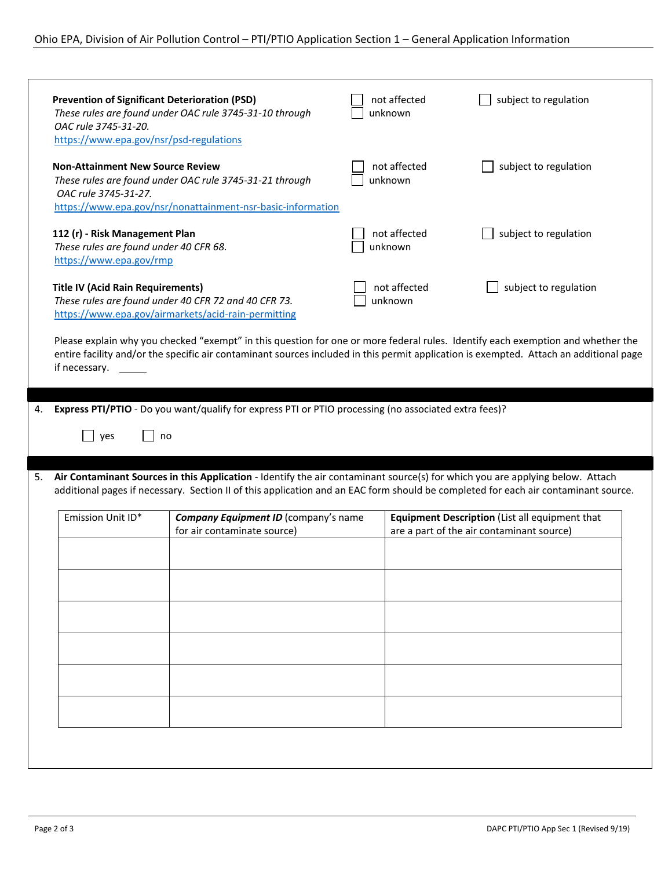|    | <b>Prevention of Significant Deterioration (PSD)</b><br>OAC rule 3745-31-20.<br>https://www.epa.gov/nsr/psd-regulations                                                                                                                                                                    | These rules are found under OAC rule 3745-31-10 through                                                                | not affected<br>unknown | subject to regulation                          |  |  |  |  |  |  |
|----|--------------------------------------------------------------------------------------------------------------------------------------------------------------------------------------------------------------------------------------------------------------------------------------------|------------------------------------------------------------------------------------------------------------------------|-------------------------|------------------------------------------------|--|--|--|--|--|--|
|    | <b>Non-Attainment New Source Review</b><br>OAC rule 3745-31-27.                                                                                                                                                                                                                            | These rules are found under OAC rule 3745-31-21 through<br>https://www.epa.gov/nsr/nonattainment-nsr-basic-information | not affected<br>unknown | subject to regulation                          |  |  |  |  |  |  |
|    | 112 (r) - Risk Management Plan<br>These rules are found under 40 CFR 68.<br>https://www.epa.gov/rmp                                                                                                                                                                                        |                                                                                                                        | not affected<br>unknown | subject to regulation                          |  |  |  |  |  |  |
|    | <b>Title IV (Acid Rain Requirements)</b>                                                                                                                                                                                                                                                   | These rules are found under 40 CFR 72 and 40 CFR 73.<br>https://www.epa.gov/airmarkets/acid-rain-permitting            | not affected<br>unknown | subject to regulation                          |  |  |  |  |  |  |
|    | Please explain why you checked "exempt" in this question for one or more federal rules. Identify each exemption and whether the<br>entire facility and/or the specific air contaminant sources included in this permit application is exempted. Attach an additional page<br>if necessary. |                                                                                                                        |                         |                                                |  |  |  |  |  |  |
| 4. |                                                                                                                                                                                                                                                                                            | Express PTI/PTIO - Do you want/qualify for express PTI or PTIO processing (no associated extra fees)?                  |                         |                                                |  |  |  |  |  |  |
|    | yes<br>no                                                                                                                                                                                                                                                                                  |                                                                                                                        |                         |                                                |  |  |  |  |  |  |
| 5. | Air Contaminant Sources in this Application - Identify the air contaminant source(s) for which you are applying below. Attach<br>additional pages if necessary. Section II of this application and an EAC form should be completed for each air contaminant source.                        |                                                                                                                        |                         |                                                |  |  |  |  |  |  |
|    | Emission Unit ID*                                                                                                                                                                                                                                                                          | Company Equipment ID (company's name                                                                                   |                         | Equipment Description (List all equipment that |  |  |  |  |  |  |
|    |                                                                                                                                                                                                                                                                                            | for air contaminate source)                                                                                            |                         | are a part of the air contaminant source)      |  |  |  |  |  |  |
|    |                                                                                                                                                                                                                                                                                            |                                                                                                                        |                         |                                                |  |  |  |  |  |  |
|    |                                                                                                                                                                                                                                                                                            |                                                                                                                        |                         |                                                |  |  |  |  |  |  |
|    |                                                                                                                                                                                                                                                                                            |                                                                                                                        |                         |                                                |  |  |  |  |  |  |
|    |                                                                                                                                                                                                                                                                                            |                                                                                                                        |                         |                                                |  |  |  |  |  |  |
|    |                                                                                                                                                                                                                                                                                            |                                                                                                                        |                         |                                                |  |  |  |  |  |  |
|    |                                                                                                                                                                                                                                                                                            |                                                                                                                        |                         |                                                |  |  |  |  |  |  |
|    |                                                                                                                                                                                                                                                                                            |                                                                                                                        |                         |                                                |  |  |  |  |  |  |
|    |                                                                                                                                                                                                                                                                                            |                                                                                                                        |                         |                                                |  |  |  |  |  |  |
|    |                                                                                                                                                                                                                                                                                            |                                                                                                                        |                         |                                                |  |  |  |  |  |  |
|    |                                                                                                                                                                                                                                                                                            |                                                                                                                        |                         |                                                |  |  |  |  |  |  |